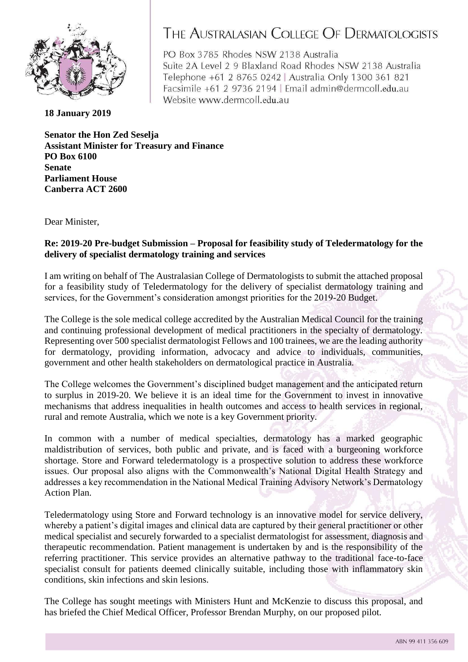

## THE AUSTRALASIAN COLLEGE OF DERMATOLOGISTS

PO Box 3785 Rhodes NSW 2138 Australia Suite 2A Level 2 9 Blaxland Road Rhodes NSW 2138 Australia Telephone +61 2 8765 0242 | Australia Only 1300 361 821 Facsimile +61 2 9736 2194 | Email admin@dermcoll.edu.au Website www.dermcoll.edu.au

**18 January 2019**

**Senator the Hon Zed Seselja Assistant Minister for Treasury and Finance PO Box 6100 Senate Parliament House Canberra ACT 2600**

Dear Minister,

## **Re: 2019-20 Pre-budget Submission – Proposal for feasibility study of Teledermatology for the delivery of specialist dermatology training and services**

I am writing on behalf of The Australasian College of Dermatologists to submit the attached proposal for a feasibility study of Teledermatology for the delivery of specialist dermatology training and services, for the Government's consideration amongst priorities for the 2019-20 Budget.

The College is the sole medical college accredited by the Australian Medical Council for the training and continuing professional development of medical practitioners in the specialty of dermatology. Representing over 500 specialist dermatologist Fellows and 100 trainees, we are the leading authority for dermatology, providing information, advocacy and advice to individuals, communities, government and other health stakeholders on dermatological practice in Australia.

The College welcomes the Government's disciplined budget management and the anticipated return to surplus in 2019-20. We believe it is an ideal time for the Government to invest in innovative mechanisms that address inequalities in health outcomes and access to health services in regional, rural and remote Australia, which we note is a key Government priority.

In common with a number of medical specialties, dermatology has a marked geographic maldistribution of services, both public and private, and is faced with a burgeoning workforce shortage. Store and Forward teledermatology is a prospective solution to address these workforce issues. Our proposal also aligns with the Commonwealth's National Digital Health Strategy and addresses a key recommendation in the National Medical Training Advisory Network's Dermatology Action Plan.

Teledermatology using Store and Forward technology is an innovative model for service delivery, whereby a patient's digital images and clinical data are captured by their general practitioner or other medical specialist and securely forwarded to a specialist dermatologist for assessment, diagnosis and therapeutic recommendation. Patient management is undertaken by and is the responsibility of the referring practitioner. This service provides an alternative pathway to the traditional face-to-face specialist consult for patients deemed clinically suitable, including those with inflammatory skin conditions, skin infections and skin lesions.

The College has sought meetings with Ministers Hunt and McKenzie to discuss this proposal, and has briefed the Chief Medical Officer, Professor Brendan Murphy, on our proposed pilot.